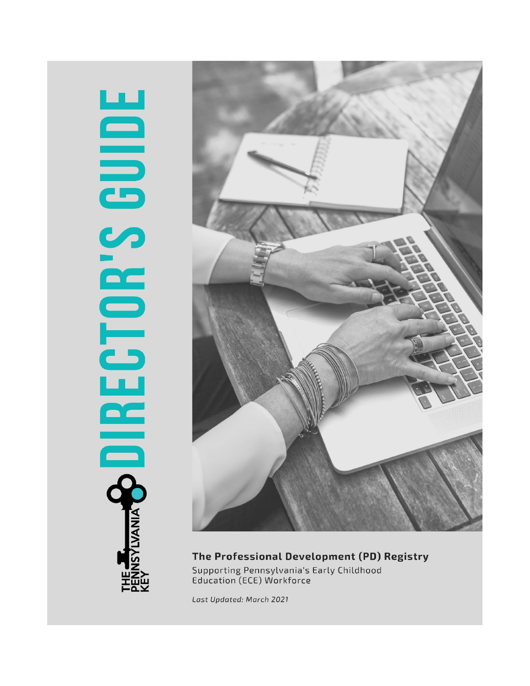# **BOIRECTOR'S GUIDE NSYLVANIA** 至治之



The Professional Development (PD) Registry Supporting Pennsylvania's Early Childhood Education (ECE) Workforce

Last Updated: March 2021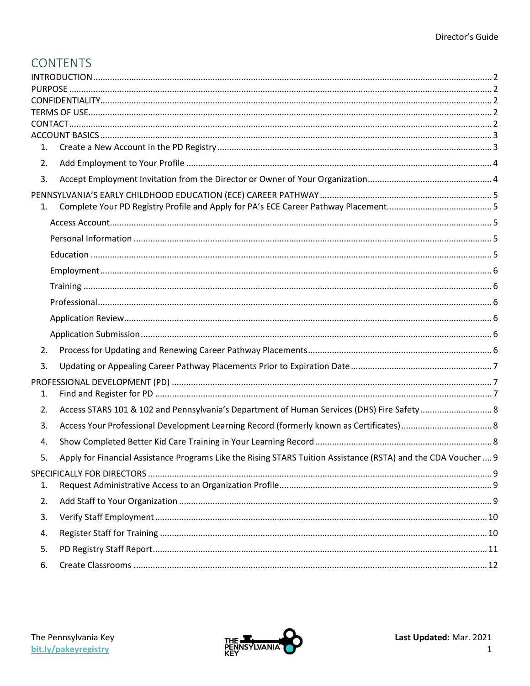# **CONTENTS**

| 1. |                                                                                                                |  |  |  |
|----|----------------------------------------------------------------------------------------------------------------|--|--|--|
| 2. |                                                                                                                |  |  |  |
| 3. |                                                                                                                |  |  |  |
|    |                                                                                                                |  |  |  |
| 1. |                                                                                                                |  |  |  |
|    |                                                                                                                |  |  |  |
|    |                                                                                                                |  |  |  |
|    |                                                                                                                |  |  |  |
|    |                                                                                                                |  |  |  |
|    |                                                                                                                |  |  |  |
|    |                                                                                                                |  |  |  |
|    |                                                                                                                |  |  |  |
|    |                                                                                                                |  |  |  |
| 2. |                                                                                                                |  |  |  |
| 3. |                                                                                                                |  |  |  |
|    |                                                                                                                |  |  |  |
| 1. |                                                                                                                |  |  |  |
| 2. |                                                                                                                |  |  |  |
| 3. |                                                                                                                |  |  |  |
| 4. |                                                                                                                |  |  |  |
| 5. | Apply for Financial Assistance Programs Like the Rising STARS Tuition Assistance (RSTA) and the CDA Voucher  9 |  |  |  |
|    |                                                                                                                |  |  |  |
| 1. |                                                                                                                |  |  |  |
| 2. |                                                                                                                |  |  |  |
| 3. |                                                                                                                |  |  |  |
| 4. |                                                                                                                |  |  |  |
| 5. |                                                                                                                |  |  |  |
| 6. |                                                                                                                |  |  |  |

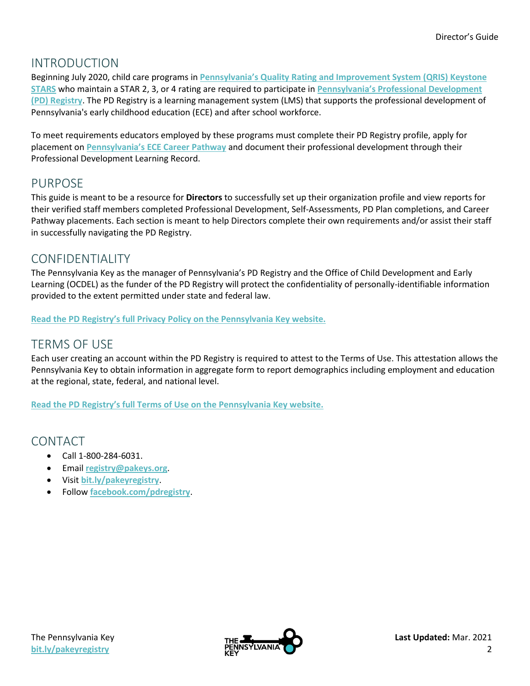# <span id="page-2-0"></span>INTRODUCTION

Beginning July 2020, child care programs in **[Pennsylvania's Quality Rating and Improvement System \(QRIS\) Keystone](https://www.pakeys.org/keystone-stars/)  [STARS](https://www.pakeys.org/keystone-stars/)** who maintain a STAR 2, 3, or 4 rating are required to participate in **[Pennsylvania's Professional Development](https://www.pakeys.org/get-professional-development/professional-development/professionals-resources/) [\(PD\) Registry](https://www.pakeys.org/get-professional-development/professional-development/professionals-resources/)**. The PD Registry is a learning management system (LMS) that supports the professional development of Pennsylvania's early childhood education (ECE) and after school workforce.

To meet requirements educators employed by these programs must complete their PD Registry profile, apply for placement on **[Pennsylvania's ECE](https://www.pakeys.org/get-professional-development/career-pathway/) Career Pathway** and document their professional development through their Professional Development Learning Record.

## <span id="page-2-1"></span>PURPOSE

This guide is meant to be a resource for **Directors** to successfully set up their organization profile and view reports for their verified staff members completed Professional Development, Self-Assessments, PD Plan completions, and Career Pathway placements. Each section is meant to help Directors complete their own requirements and/or assist their staff in successfully navigating the PD Registry.

# <span id="page-2-2"></span>CONFIDENTIALITY

The Pennsylvania Key as the manager of Pennsylvania's PD Registry and the Office of Child Development and Early Learning (OCDEL) as the funder of the PD Registry will protect the confidentiality of personally-identifiable information provided to the extent permitted under state and federal law.

<span id="page-2-3"></span>**[Read the PD Registry's full Privacy Policy on the Pennsylvania Key website.](https://www.pakeys.org/get-professional-development/professional-development/professionals-resources/)**

## TERMS OF USE

Each user creating an account within the PD Registry is required to attest to the Terms of Use. This attestation allows the Pennsylvania Key to obtain information in aggregate form to report demographics including employment and education at the regional, state, federal, and national level.

**[Read the PD Registry's full Terms of Use on the Pennsylvania Key website.](https://www.pakeys.org/get-professional-development/professional-development/professionals-resources/)**

## <span id="page-2-4"></span>CONTACT

- Call 1-800-284-6031.
- Email **[registry@pakeys.org](mailto:registry@pakeys.org)**.
- Visit **bit.ly/pakeyregistry**.
- Follow **[facebook.com/pdregistry](https://www.facebook.com/pdregistry/)**.

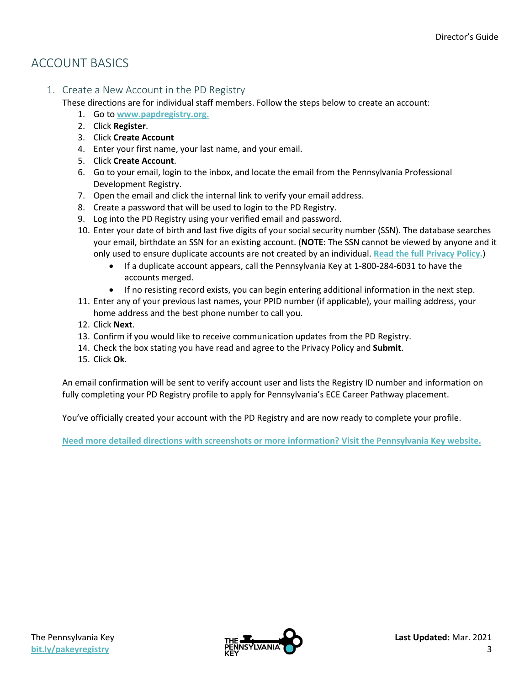# <span id="page-3-0"></span>ACCOUNT BASICS

<span id="page-3-1"></span>1. Create a New Account in the PD Registry

These directions are for individual staff members. Follow the steps below to create an account:

- 1. Go to **[www.papdregistry.org.](http://www.papdregistry.org/)**
- 2. Click **Register**.
- 3. Click **Create Account**
- 4. Enter your first name, your last name, and your email.
- 5. Click **Create Account**.
- 6. Go to your email, login to the inbox, and locate the email from the Pennsylvania Professional Development Registry.
- 7. Open the email and click the internal link to verify your email address.
- 8. Create a password that will be used to login to the PD Registry.
- 9. Log into the PD Registry using your verified email and password.
- 10. Enter your date of birth and last five digits of your social security number (SSN). The database searches your email, birthdate an SSN for an existing account. (**NOTE**: The SSN cannot be viewed by anyone and it only used to ensure duplicate accounts are not created by an individual. **[Read the full Privacy Policy.](https://www.pakeys.org/get-professional-development/professional-development/professionals-resources/)**)
	- If a duplicate account appears, call the Pennsylvania Key at 1-800-284-6031 to have the accounts merged.
	- If no resisting record exists, you can begin entering additional information in the next step.
- 11. Enter any of your previous last names, your PPID number (if applicable), your mailing address, your home address and the best phone number to call you.
- 12. Click **Next**.
- 13. Confirm if you would like to receive communication updates from the PD Registry.
- 14. Check the box stating you have read and agree to the Privacy Policy and **Submit**.
- 15. Click **Ok**.

An email confirmation will be sent to verify account user and lists the Registry ID number and information on fully completing your PD Registry profile to apply for Pennsylvania's ECE Career Pathway placement.

You've officially created your account with the PD Registry and are now ready to complete your profile.

**Need more detailed directions with screenshots [or more information? Visit the Pennsylvania Key website.](https://www.pakeys.org/get-professional-development/professional-development/professionals-resources/)**

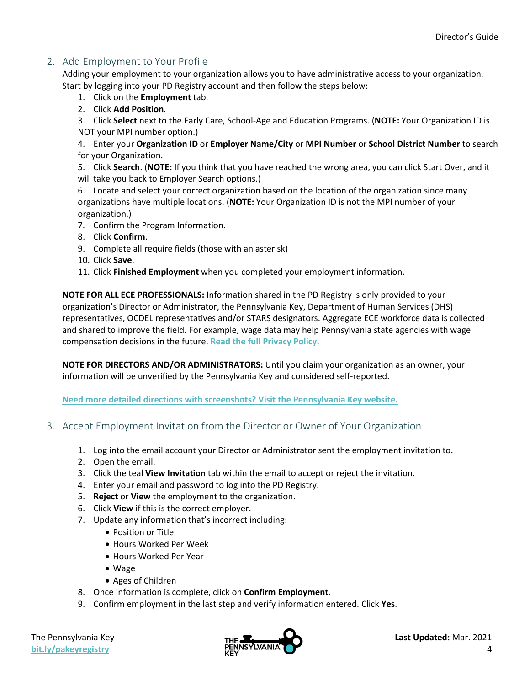## <span id="page-4-0"></span>2. Add Employment to Your Profile

Adding your employment to your organization allows you to have administrative access to your organization. Start by logging into your PD Registry account and then follow the steps below:

- 1. Click on the **Employment** tab.
- 2. Click **Add Position**.

3. Click **Select** next to the Early Care, School-Age and Education Programs. (**NOTE:** Your Organization ID is NOT your MPI number option.)

4. Enter your **Organization ID** or **Employer Name/City** or **MPI Number** or **School District Number** to search for your Organization.

5. Click **Search**. (**NOTE:** If you think that you have reached the wrong area, you can click Start Over, and it will take you back to Employer Search options.)

6. Locate and select your correct organization based on the location of the organization since many organizations have multiple locations. (**NOTE:** Your Organization ID is not the MPI number of your organization.)

- 7. Confirm the Program Information.
- 8. Click **Confirm**.
- 9. Complete all require fields (those with an asterisk)
- 10. Click **Save**.
- 11. Click **Finished Employment** when you completed your employment information.

**NOTE FOR ALL ECE PROFESSIONALS:** Information shared in the PD Registry is only provided to your organization's Director or Administrator, the Pennsylvania Key, Department of Human Services (DHS) representatives, OCDEL representatives and/or STARS designators. Aggregate ECE workforce data is collected and shared to improve the field. For example, wage data may help Pennsylvania state agencies with wage compensation decisions in the future. **[Read the full Privacy Policy.](https://www.pakeys.org/get-professional-development/professional-development/professionals-resources/)**

**NOTE FOR DIRECTORS AND/OR ADMINISTRATORS:** Until you claim your organization as an owner, your information will be unverified by the Pennsylvania Key and considered self-reported.

**[Need more detailed directions with screenshots? Visit the Pennsylvania Key website.](https://www.pakeys.org/get-professional-development/professional-development/professionals-resources/)**

- <span id="page-4-1"></span>3. Accept Employment Invitation from the Director or Owner of Your Organization
	- 1. Log into the email account your Director or Administrator sent the employment invitation to.
	- 2. Open the email.
	- 3. Click the teal **View Invitation** tab within the email to accept or reject the invitation.
	- 4. Enter your email and password to log into the PD Registry.
	- 5. **Reject** or **View** the employment to the organization.
	- 6. Click **View** if this is the correct employer.
	- 7. Update any information that's incorrect including:
		- Position or Title
		- Hours Worked Per Week
		- Hours Worked Per Year
		- Wage
		- Ages of Children
	- 8. Once information is complete, click on **Confirm Employment**.
	- 9. Confirm employment in the last step and verify information entered. Click **Yes**.

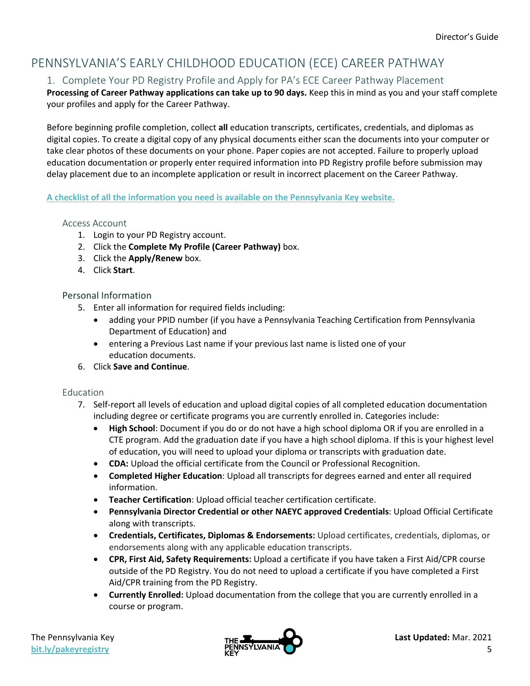# <span id="page-5-1"></span><span id="page-5-0"></span>PENNSYLVANIA'S EARLY CHILDHOOD EDUCATION (ECE) CAREER PATHWAY

## 1. Complete Your PD Registry Profile and Apply for PA's ECE Career Pathway Placement

**Processing of Career Pathway applications can take up to 90 days.** Keep this in mind as you and your staff complete your profiles and apply for the Career Pathway.

Before beginning profile completion, collect **all** education transcripts, certificates, credentials, and diplomas as digital copies. To create a digital copy of any physical documents either scan the documents into your computer or take clear photos of these documents on your phone. Paper copies are not accepted. Failure to properly upload education documentation or properly enter required information into PD Registry profile before submission may delay placement due to an incomplete application or result in incorrect placement on the Career Pathway.

<span id="page-5-2"></span>**[A checklist of all the information you need is available on the Pennsylvania Key website.](https://www.pakeys.org/get-professional-development/career-pathway/)**

#### Access Account

- 1. Login to your PD Registry account.
- 2. Click the **Complete My Profile (Career Pathway)** box.
- 3. Click the **Apply/Renew** box.
- 4. Click **Start**.

#### <span id="page-5-3"></span>Personal Information

- 5. Enter all information for required fields including:
	- adding your PPID number (if you have a Pennsylvania Teaching Certification from Pennsylvania Department of Education) and
	- entering a Previous Last name if your previous last name is listed one of your education documents.
- 6. Click **Save and Continue**.

#### <span id="page-5-4"></span>Education

- 7. Self-report all levels of education and upload digital copies of all completed education documentation including degree or certificate programs you are currently enrolled in. Categories include:
	- **High School**: Document if you do or do not have a high school diploma OR if you are enrolled in a CTE program. Add the graduation date if you have a high school diploma. If this is your highest level of education, you will need to upload your diploma or transcripts with graduation date.
	- **CDA:** Upload the official certificate from the Council or Professional Recognition.
	- **Completed Higher Education**: Upload all transcripts for degrees earned and enter all required information.
	- **Teacher Certification**: Upload official teacher certification certificate.
	- **Pennsylvania Director Credential or other NAEYC approved Credentials**: Upload Official Certificate along with transcripts.
	- **Credentials, Certificates, Diplomas & Endorsements:** Upload certificates, credentials, diplomas, or endorsements along with any applicable education transcripts.
	- **CPR, First Aid, Safety Requirements:** Upload a certificate if you have taken a First Aid/CPR course outside of the PD Registry. You do not need to upload a certificate if you have completed a First Aid/CPR training from the PD Registry.
	- **Currently Enrolled:** Upload documentation from the college that you are currently enrolled in a course or program.

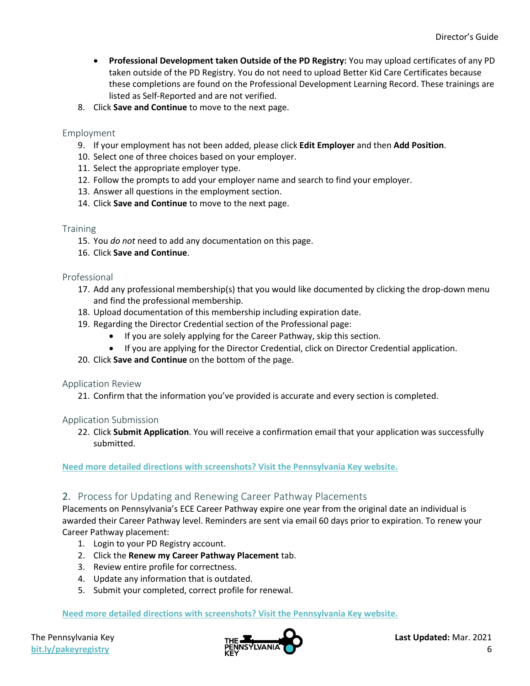- **Professional Development taken Outside of the PD Registry:** You may upload certificates of any PD taken outside of the PD Registry. You do not need to upload Better Kid Care Certificates because these completions are found on the Professional Development Learning Record. These trainings are listed as Self-Reported and are not verified.
- 8. Click **Save and Continue** to move to the next page.

#### <span id="page-6-0"></span>Employment

- 9. If your employment has not been added, please click **Edit Employer** and then **Add Position**.
- 10. Select one of three choices based on your employer.
- 11. Select the appropriate employer type.
- 12. Follow the prompts to add your employer name and search to find your employer.
- 13. Answer all questions in the employment section.
- 14. Click **Save and Continue** to move to the next page.

#### <span id="page-6-1"></span>**Training**

- 15. You *do not* need to add any documentation on this page.
- 16. Click **Save and Continue**.

#### <span id="page-6-2"></span>Professional

- 17. Add any professional membership(s) that you would like documented by clicking the drop-down menu and find the professional membership.
- 18. Upload documentation of this membership including expiration date.
- 19. Regarding the Director Credential section of the Professional page:
	- If you are solely applying for the Career Pathway, skip this section.
	- If you are applying for the Director Credential, click on Director Credential application.
- 20. Click **Save and Continue** on the bottom of the page.

<span id="page-6-3"></span>Application Review

21. Confirm that the information you've provided is accurate and every section is completed.

#### <span id="page-6-4"></span>Application Submission

22. Click **Submit Application**. You will receive a confirmation email that your application was successfully submitted.

**[Need more detailed directions with screenshots? Visit the Pennsylvania Key website.](https://www.pakeys.org/get-professional-development/professional-development/professionals-resources/)**

#### <span id="page-6-5"></span>2. Process for Updating and Renewing Career Pathway Placements

Placements on Pennsylvania's ECE Career Pathway expire one year from the original date an individual is awarded their Career Pathway level. Reminders are sent via email 60 days prior to expiration. To renew your Career Pathway placement:

- 1. Login to your PD Registry account.
- 2. Click the **Renew my Career Pathway Placement** tab.
- 3. Review entire profile for correctness.
- 4. Update any information that is outdated.
- 5. Submit your completed, correct profile for renewal.

**[Need more detailed directions with screenshots? Visit the Pennsylvania Key website.](https://www.pakeys.org/get-professional-development/professional-development/professionals-resources/)**

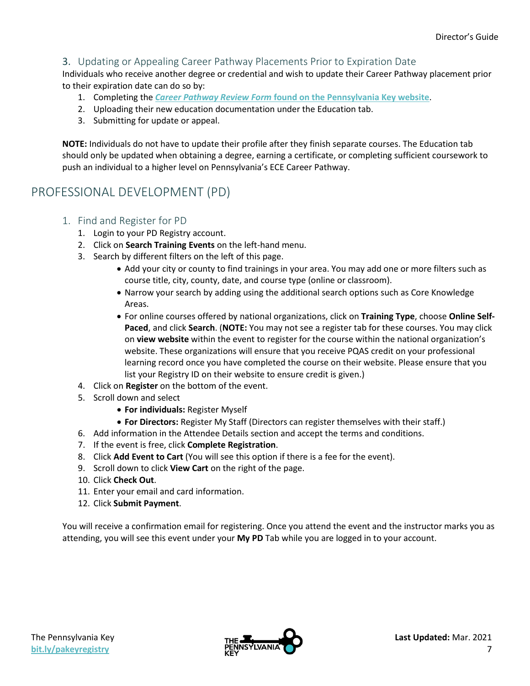## <span id="page-7-0"></span>3. Updating or Appealing Career Pathway Placements Prior to Expiration Date

Individuals who receive another degree or credential and wish to update their Career Pathway placement prior to their expiration date can do so by:

- 1. Completing the *Career Pathway Review Form* **[found on the Pennsylvania Key](https://www.pakeys.org/get-professional-development/career-pathway/) website**.
- 2. Uploading their new education documentation under the Education tab.
- 3. Submitting for update or appeal.

**NOTE:** Individuals do not have to update their profile after they finish separate courses. The Education tab should only be updated when obtaining a degree, earning a certificate, or completing sufficient coursework to push an individual to a higher level on Pennsylvania's ECE Career Pathway.

## <span id="page-7-2"></span><span id="page-7-1"></span>PROFESSIONAL DEVELOPMENT (PD)

- 1. Find and Register for PD
	- 1. Login to your PD Registry account.
	- 2. Click on **Search Training Events** on the left-hand menu.
	- 3. Search by different filters on the left of this page.
		- Add your city or county to find trainings in your area. You may add one or more filters such as course title, city, county, date, and course type (online or classroom).
		- Narrow your search by adding using the additional search options such as Core Knowledge Areas.
		- For online courses offered by national organizations, click on **Training Type**, choose **Online Self-Paced**, and click **Search**. (**NOTE:** You may not see a register tab for these courses. You may click on **view website** within the event to register for the course within the national organization's website. These organizations will ensure that you receive PQAS credit on your professional learning record once you have completed the course on their website. Please ensure that you list your Registry ID on their website to ensure credit is given.)
	- 4. Click on **Register** on the bottom of the event.
	- 5. Scroll down and select
		- **For individuals:** Register Myself
		- **For Directors:** Register My Staff (Directors can register themselves with their staff.)
	- 6. Add information in the Attendee Details section and accept the terms and conditions.
	- 7. If the event is free, click **Complete Registration**.
	- 8. Click **Add Event to Cart** (You will see this option if there is a fee for the event).
	- 9. Scroll down to click **View Cart** on the right of the page.
	- 10. Click **Check Out**.
	- 11. Enter your email and card information.
	- 12. Click **Submit Payment**.

You will receive a confirmation email for registering. Once you attend the event and the instructor marks you as attending, you will see this event under your **My PD** Tab while you are logged in to your account.

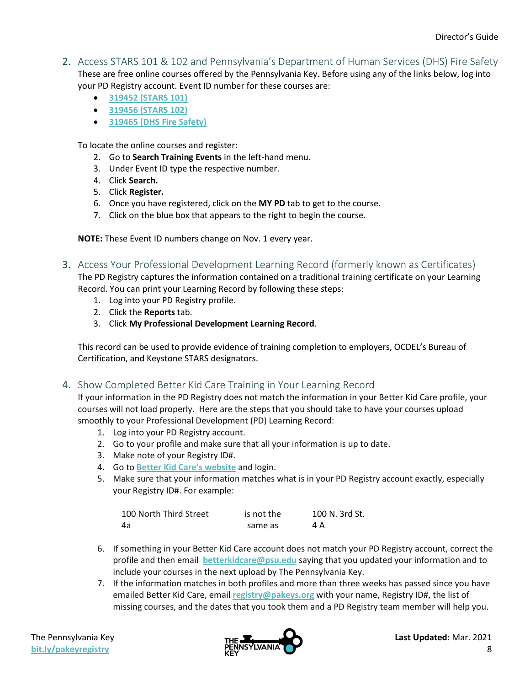- <span id="page-8-0"></span>2. Access STARS 101 & 102 and Pennsylvania's Department of Human Services (DHS) Fire Safety These are free online courses offered by the Pennsylvania Key. Before using any of the links below, log into your PD Registry account. Event ID number for these courses are:
	- **[319452 \(STARS 101\)](https://www.papdregistry.org/register.aspx?evid=319452)**
	- **[319456 \(STARS 102\)](https://www.papdregistry.org/register.aspx?evid=319456)**
	- **[319465 \(DHS Fire Safety\)](https://www.papdregistry.org/register.aspx?evid=319465)**

To locate the online courses and register:

- 2. Go to **Search Training Events** in the left-hand menu.
- 3. Under Event ID type the respective number.
- 4. Click **Search.**
- 5. Click **Register.**
- 6. Once you have registered, click on the **MY PD** tab to get to the course.
- 7. Click on the blue box that appears to the right to begin the course.

**NOTE:** These Event ID numbers change on Nov. 1 every year.

<span id="page-8-1"></span>3. Access Your Professional Development Learning Record (formerly known as Certificates)

The PD Registry captures the information contained on a traditional training certificate on your Learning Record. You can print your Learning Record by following these steps:

- 1. Log into your PD Registry profile.
- 2. Click the **Reports** tab.
- 3. Click **My Professional Development Learning Record**.

This record can be used to provide evidence of training completion to employers, OCDEL's Bureau of Certification, and Keystone STARS designators.

<span id="page-8-2"></span>4. Show Completed Better Kid Care Training in Your Learning Record

If your information in the PD Registry does not match the information in your Better Kid Care profile, your courses will not load properly. Here are the steps that you should take to have your courses upload smoothly to your Professional Development (PD) Learning Record:

- 1. Log into your PD Registry account.
- 2. Go to your profile and make sure that all your information is up to date.
- 3. Make note of your Registry ID#.
- 4. Go to **[Better Kid Care's website](https://extension.psu.edu/programs/betterkidcare)** and login.
- 5. Make sure that your information matches what is in your PD Registry account exactly, especially your Registry ID#. For example:

| 100 North Third Street | is not the | 100 N. 3rd St. |
|------------------------|------------|----------------|
| -4а                    | same as    | 4 A            |

- 6. If something in your Better Kid Care account does not match your PD Registry account, correct the profile and then email **[betterkidcare@psu.edu](mailto:betterkidcare@psu.edu)** saying that you updated your information and to include your courses in the next upload by The Pennsylvania Key.
- 7. If the information matches in both profiles and more than three weeks has passed since you have emailed Better Kid Care, email **[registry@pakeys.org](mailto:registry@pakeys.org)** with your name, Registry ID#, the list of missing courses, and the dates that you took them and a PD Registry team member will help you.

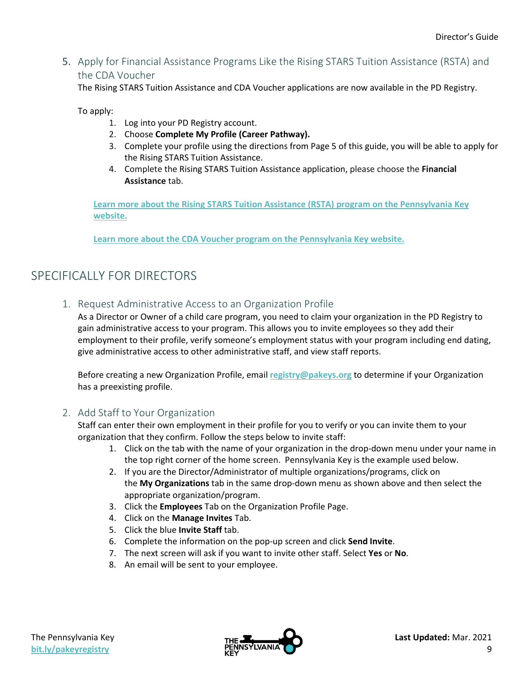<span id="page-9-0"></span>5. Apply for Financial Assistance Programs Like the Rising STARS Tuition Assistance (RSTA) and the CDA Voucher

The Rising STARS Tuition Assistance and CDA Voucher applications are now available in the PD Registry.

To apply:

- 1. Log into your PD Registry account.
- 2. Choose **Complete My Profile (Career Pathway).**
- 3. Complete your profile using the directions from Page 5 of this guide, you will be able to apply for the Rising STARS Tuition Assistance.
- 4. Complete the Rising STARS Tuition Assistance application, please choose the **Financial Assistance** tab.

**Learn more about the [Rising STARS Tuition Assistance](https://www.pakeys.org/keystone-stars/rising-stars/) (RSTA) program on the Pennsylvania Key [website.](https://www.pakeys.org/keystone-stars/rising-stars/)**

**[Learn more about the CDA Voucher program on the Pennsylvania Key website.](https://www.pakeys.org/get-professional-development/financial-assistance/cda-voucher/)**

# <span id="page-9-2"></span><span id="page-9-1"></span>SPECIFICALLY FOR DIRECTORS

1. Request Administrative Access to an Organization Profile

As a Director or Owner of a child care program, you need to claim your organization in the PD Registry to gain administrative access to your program. This allows you to invite employees so they add their employment to their profile, verify someone's employment status with your program including end dating, give administrative access to other administrative staff, and view staff reports.

Before creating a new Organization Profile, email **[registry@pakeys.org](mailto:registry@pakeys.org)** to determine if your Organization has a preexisting profile.

## <span id="page-9-3"></span>2. Add Staff to Your Organization

Staff can enter their own employment in their profile for you to verify or you can invite them to your organization that they confirm. Follow the steps below to invite staff:

- 1. Click on the tab with the name of your organization in the drop-down menu under your name in the top right corner of the home screen. Pennsylvania Key is the example used below.
- 2. If you are the Director/Administrator of multiple organizations/programs, click on the **My Organizations** tab in the same drop-down menu as shown above and then select the appropriate organization/program.
- 3. Click the **Employees** Tab on the Organization Profile Page.
- 4. Click on the **Manage Invites** Tab.
- 5. Click the blue **Invite Staff** tab.
- 6. Complete the information on the pop-up screen and click **Send Invite**.
- 7. The next screen will ask if you want to invite other staff. Select **Yes** or **No**.
- 8. An email will be sent to your employee.

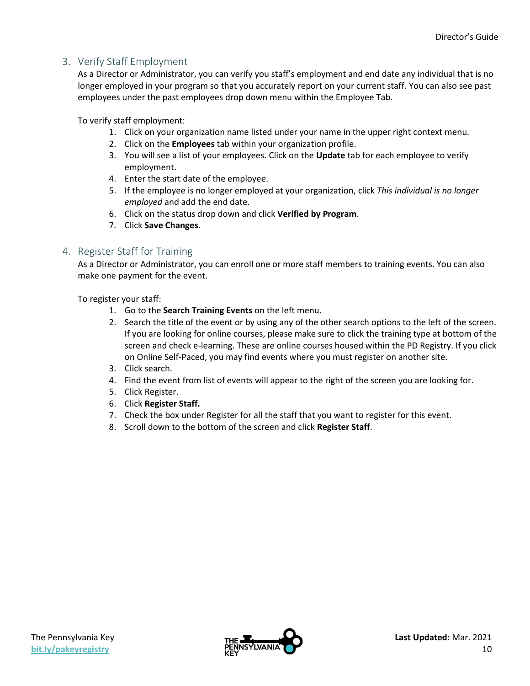## <span id="page-10-0"></span>3. Verify Staff Employment

As a Director or Administrator, you can verify you staff's employment and end date any individual that is no longer employed in your program so that you accurately report on your current staff. You can also see past employees under the past employees drop down menu within the Employee Tab.

To verify staff employment:

- 1. Click on your organization name listed under your name in the upper right context menu.
- 2. Click on the **Employees** tab within your organization profile.
- 3. You will see a list of your employees. Click on the **Update** tab for each employee to verify employment.
- 4. Enter the start date of the employee.
- 5. If the employee is no longer employed at your organization, click *This individual is no longer employed* and add the end date.
- 6. Click on the status drop down and click **Verified by Program**.
- 7. Click **Save Changes**.

## <span id="page-10-1"></span>4. Register Staff for Training

As a Director or Administrator, you can enroll one or more staff members to training events. You can also make one payment for the event.

To register your staff:

- 1. Go to the **Search Training Events** on the left menu.
- 2. Search the title of the event or by using any of the other search options to the left of the screen. If you are looking for online courses, please make sure to click the training type at bottom of the screen and check e-learning. These are online courses housed within the PD Registry. If you click on Online Self-Paced, you may find events where you must register on another site.
- 3. Click search.
- 4. Find the event from list of events will appear to the right of the screen you are looking for.
- 5. Click Register.
- 6. Click **Register Staff.**
- 7. Check the box under Register for all the staff that you want to register for this event.
- 8. Scroll down to the bottom of the screen and click **Register Staff**.

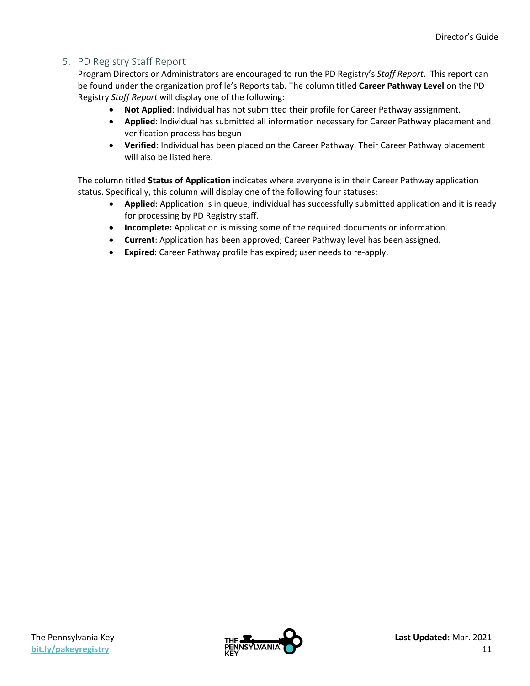## <span id="page-11-0"></span>5. PD Registry Staff Report

Program Directors or Administrators are encouraged to run the PD Registry's *Staff Report*. This report can be found under the organization profile's Reports tab. The column titled **Career Pathway Level** on the PD Registry *Staff Report* will display one of the following:

- **Not Applied**: Individual has not submitted their profile for Career Pathway assignment.
- **Applied**: Individual has submitted all information necessary for Career Pathway placement and verification process has begun
- **Verified**: Individual has been placed on the Career Pathway. Their Career Pathway placement will also be listed here.

The column titled **Status of Application** indicates where everyone is in their Career Pathway application status. Specifically, this column will display one of the following four statuses:

- **Applied**: Application is in queue; individual has successfully submitted application and it is ready for processing by PD Registry staff.
- **Incomplete:** Application is missing some of the required documents or information.
- **Current**: Application has been approved; Career Pathway level has been assigned.
- **Expired**: Career Pathway profile has expired; user needs to re-apply.